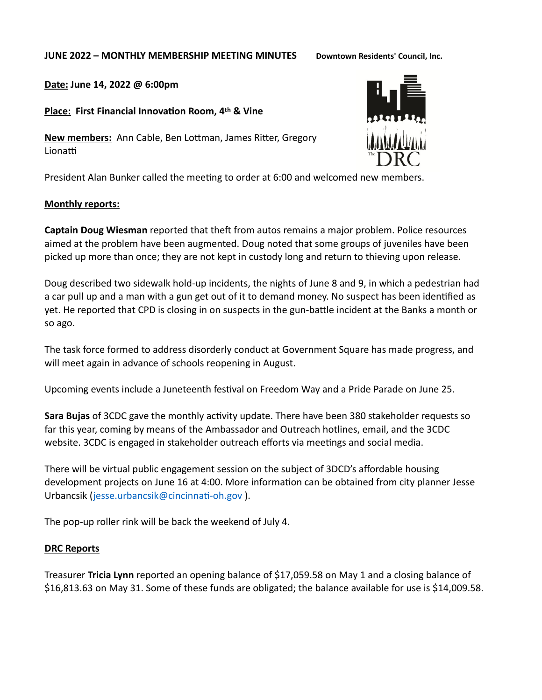#### **JUNE 2022 – MONTHLY MEMBERSHIP MEETING MINUTES Downtown Residents' Council, Inc.**

**Date: June 14, 2022 @ 6:00pm** 

**Place: First Financial Innovation Room, 4th & Vine**

**New members:** Ann Cable, Ben Lottman, James Ritter, Gregory Lionatti

President Alan Bunker called the meeting to order at 6:00 and welcomed new members.

### **Monthly reports:**

**Captain Doug Wiesman** reported that theft from autos remains a major problem. Police resources aimed at the problem have been augmented. Doug noted that some groups of juveniles have been picked up more than once; they are not kept in custody long and return to thieving upon release.

Doug described two sidewalk hold-up incidents, the nights of June 8 and 9, in which a pedestrian had a car pull up and a man with a gun get out of it to demand money. No suspect has been identified as yet. He reported that CPD is closing in on suspects in the gun-battle incident at the Banks a month or so ago.

The task force formed to address disorderly conduct at Government Square has made progress, and will meet again in advance of schools reopening in August.

Upcoming events include a Juneteenth festival on Freedom Way and a Pride Parade on June 25.

**Sara Bujas** of 3CDC gave the monthly activity update. There have been 380 stakeholder requests so far this year, coming by means of the Ambassador and Outreach hotlines, email, and the 3CDC website. 3CDC is engaged in stakeholder outreach efforts via meetings and social media.

There will be virtual public engagement session on the subject of 3DCD's affordable housing development projects on June 16 at 4:00. More information can be obtained from city planner Jesse Urbancsik ([jesse.urbancsik@cincinnati-oh.gov](mailto:jesse.urbancsik@cincinnati-oh.gov) ).

The pop-up roller rink will be back the weekend of July 4.

# **DRC Reports**

Treasurer **Tricia Lynn** reported an opening balance of \$17,059.58 on May 1 and a closing balance of \$16,813.63 on May 31. Some of these funds are obligated; the balance available for use is \$14,009.58.